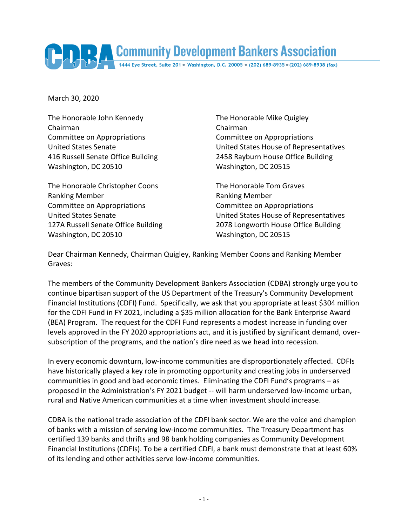Community Development Bankers Association

March 30, 2020

The Honorable John Kennedy The Honorable Mike Quigley Chairman Chairman Committee on Appropriations Committee on Appropriations Washington, DC 20510 Washington, DC 20515

The Honorable Christopher Coons The Honorable Tom Graves Ranking Member **Ranking Member** Ranking Member Committee on Appropriations Committee on Appropriations Washington, DC 20510 Washington, DC 20515

United States Senate United States House of Representatives 416 Russell Senate Office Building 2458 Rayburn House Office Building

United States Senate United States House of Representatives 127A Russell Senate Office Building 2078 Longworth House Office Building

Dear Chairman Kennedy, Chairman Quigley, Ranking Member Coons and Ranking Member Graves:

The members of the Community Development Bankers Association (CDBA) strongly urge you to continue bipartisan support of the US Department of the Treasury's Community Development Financial Institutions (CDFI) Fund. Specifically, we ask that you appropriate at least \$304 million for the CDFI Fund in FY 2021, including a \$35 million allocation for the Bank Enterprise Award (BEA) Program. The request for the CDFI Fund represents a modest increase in funding over levels approved in the FY 2020 appropriations act, and it is justified by significant demand, oversubscription of the programs, and the nation's dire need as we head into recession.

In every economic downturn, low-income communities are disproportionately affected. CDFIs have historically played a key role in promoting opportunity and creating jobs in underserved communities in good and bad economic times. Eliminating the CDFI Fund's programs – as proposed in the Administration's FY 2021 budget -- will harm underserved low-income urban, rural and Native American communities at a time when investment should increase.

CDBA is the national trade association of the CDFI bank sector. We are the voice and champion of banks with a mission of serving low-income communities. The Treasury Department has certified 139 banks and thrifts and 98 bank holding companies as Community Development Financial Institutions (CDFIs). To be a certified CDFI, a bank must demonstrate that at least 60% of its lending and other activities serve low-income communities.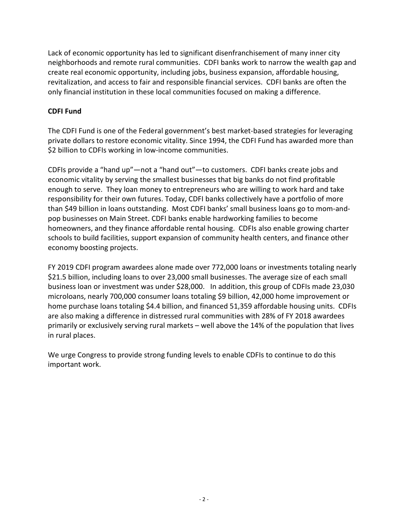Lack of economic opportunity has led to significant disenfranchisement of many inner city neighborhoods and remote rural communities. CDFI banks work to narrow the wealth gap and create real economic opportunity, including jobs, business expansion, affordable housing, revitalization, and access to fair and responsible financial services. CDFI banks are often the only financial institution in these local communities focused on making a difference.

## **CDFI Fund**

The CDFI Fund is one of the Federal government's best market-based strategies for leveraging private dollars to restore economic vitality. Since 1994, the CDFI Fund has awarded more than \$2 billion to CDFIs working in low-income communities.

CDFIs provide a "hand up"—not a "hand out"—to customers. CDFI banks create jobs and economic vitality by serving the smallest businesses that big banks do not find profitable enough to serve. They loan money to entrepreneurs who are willing to work hard and take responsibility for their own futures. Today, CDFI banks collectively have a portfolio of more than \$49 billion in loans outstanding. Most CDFI banks' small business loans go to mom-andpop businesses on Main Street. CDFI banks enable hardworking families to become homeowners, and they finance affordable rental housing. CDFIs also enable growing charter schools to build facilities, support expansion of community health centers, and finance other economy boosting projects.

FY 2019 CDFI program awardees alone made over 772,000 loans or investments totaling nearly \$21.5 billion, including loans to over 23,000 small businesses. The average size of each small business loan or investment was under \$28,000. In addition, this group of CDFIs made 23,030 microloans, nearly 700,000 consumer loans totaling \$9 billion, 42,000 home improvement or home purchase loans totaling \$4.4 billion, and financed 51,359 affordable housing units. CDFIs are also making a difference in distressed rural communities with 28% of FY 2018 awardees primarily or exclusively serving rural markets – well above the 14% of the population that lives in rural places.

We urge Congress to provide strong funding levels to enable CDFIs to continue to do this important work.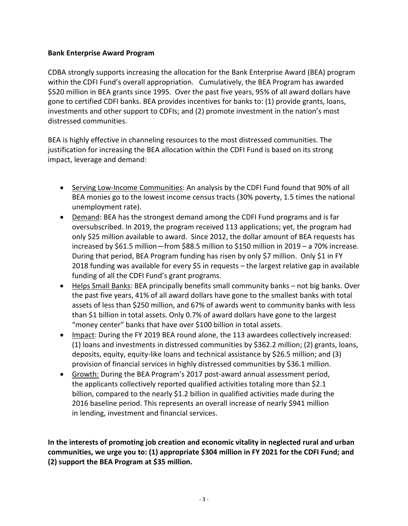## **Bank Enterprise Award Program**

CDBA strongly supports increasing the allocation for the Bank Enterprise Award (BEA) program within the CDFI Fund's overall appropriation. Cumulatively, the BEA Program has awarded \$520 million in BEA grants since 1995. Over the past five years, 95% of all award dollars have gone to certified CDFI banks. BEA provides incentives for banks to: (1) provide grants, loans, investments and other support to CDFIs; and (2) promote investment in the nation's most distressed communities.

BEA is highly effective in channeling resources to the most distressed communities. The justification for increasing the BEA allocation within the CDFI Fund is based on its strong impact, leverage and demand:

- Serving Low-Income Communities: An analysis by the CDFI Fund found that 90% of all BEA monies go to the lowest income census tracts (30% poverty, 1.5 times the national unemployment rate).
- Demand: BEA has the strongest demand among the CDFI Fund programs and is far oversubscribed. In 2019, the program received 113 applications; yet, the program had only \$25 million available to award. Since 2012, the dollar amount of BEA requests has increased by \$61.5 million—from \$88.5 million to \$150 million in 2019 – a 70% increase. During that period, BEA Program funding has risen by only \$7 million. Only \$1 in FY 2018 funding was available for every \$5 in requests – the largest relative gap in available funding of all the CDFI Fund's grant programs.
- Helps Small Banks: BEA principally benefits small community banks not big banks. Over the past five years, 41% of all award dollars have gone to the smallest banks with total assets of less than \$250 million, and 67% of awards went to community banks with less than \$1 billion in total assets. Only 0.7% of award dollars have gone to the largest "money center" banks that have over \$100 billion in total assets.
- Impact: During the FY 2019 BEA round alone, the 113 awardees collectively increased: (1) loans and investments in distressed communities by \$362.2 million; (2) grants, loans, deposits, equity, equity-like loans and technical assistance by \$26.5 million; and (3) provision of financial services in highly distressed communities by \$36.1 million.
- Growth: During the BEA Program's 2017 post-award annual assessment period, the applicants collectively reported qualified activities totaling more than \$2.1 billion, compared to the nearly \$1.2 billion in qualified activities made during the 2016 baseline period. This represents an overall increase of nearly \$941 million in lending, investment and financial services.

**In the interests of promoting job creation and economic vitality in neglected rural and urban communities, we urge you to: (1) appropriate \$304 million in FY 2021 for the CDFI Fund; and (2) support the BEA Program at \$35 million.**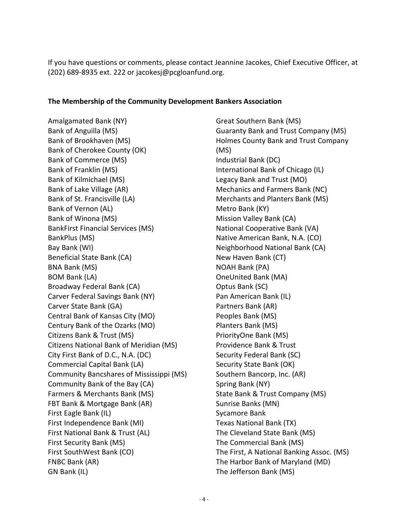If you have questions or comments, please contact Jeannine Jacokes, Chief Executive Officer, at (202) 689-8935 ext. 222 or jacokesj@pcgloanfund.org.

## **The Membership of the Community Development Bankers Association**

Amalgamated Bank (NY) Bank of Anguilla (MS) Bank of Brookhaven (MS) Bank of Cherokee County (OK) Bank of Commerce (MS) Bank of Franklin (MS) Bank of Kilmichael (MS) Bank of Lake Village (AR) Bank of St. Francisville (LA) Bank of Vernon (AL) Bank of Winona (MS) BankFirst Financial Services (MS) BankPlus (MS) Bay Bank (WI) Beneficial State Bank (CA) BNA Bank (MS) BOM Bank (LA) Broadway Federal Bank (CA) Carver Federal Savings Bank (NY) Carver State Bank (GA) Central Bank of Kansas City (MO) Century Bank of the Ozarks (MO) Citizens Bank & Trust (MS) Citizens National Bank of Meridian (MS) City First Bank of D.C., N.A. (DC) Commercial Capital Bank (LA) Community Bancshares of Mississippi (MS) Community Bank of the Bay (CA) Farmers & Merchants Bank (MS) FBT Bank & Mortgage Bank (AR) First Eagle Bank (IL) First Independence Bank (MI) First National Bank & Trust (AL) First Security Bank (MS) First SouthWest Bank (CO) FNBC Bank (AR) GN Bank (IL)

Great Southern Bank (MS) Guaranty Bank and Trust Company (MS) Holmes County Bank and Trust Company (MS) Industrial Bank (DC) International Bank of Chicago (IL) Legacy Bank and Trust (MO) Mechanics and Farmers Bank (NC) Merchants and Planters Bank (MS) Metro Bank (KY) Mission Valley Bank (CA) National Cooperative Bank (VA) Native American Bank, N.A. (CO) Neighborhood National Bank (CA) New Haven Bank (CT) NOAH Bank (PA) OneUnited Bank (MA) Optus Bank (SC) Pan American Bank (IL) Partners Bank (AR) Peoples Bank (MS) Planters Bank (MS) PriorityOne Bank (MS) Providence Bank & Trust Security Federal Bank (SC) Security State Bank (OK) Southern Bancorp, Inc. (AR) Spring Bank (NY) State Bank & Trust Company (MS) Sunrise Banks (MN) Sycamore Bank Texas National Bank (TX) The Cleveland State Bank (MS) The Commercial Bank (MS) The First, A National Banking Assoc. (MS) The Harbor Bank of Maryland (MD) The Jefferson Bank (MS)